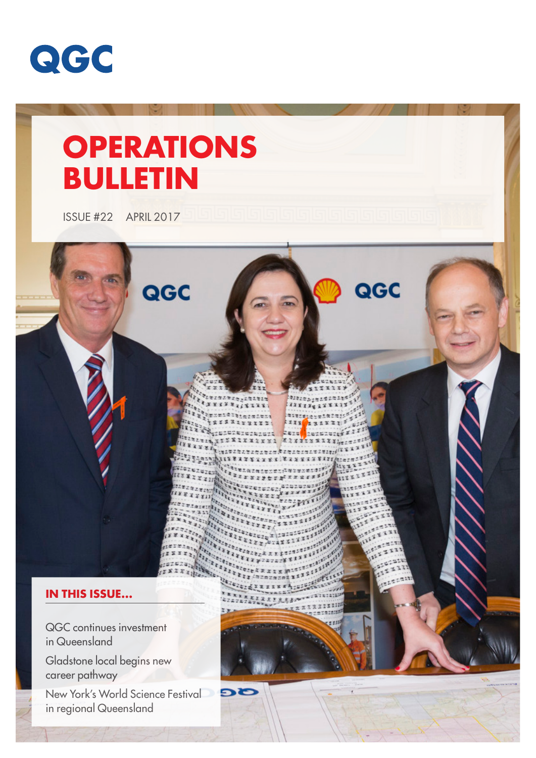

# **OPERATIONS BULLETIN**

ISSUE #22 APRIL 2017

# QGC QGC **IN THIS ISSUE...** QGC continues investment in Queensland

**DE** 

Gladstone local begins new career pathway

New York's World Science Festival in regional Queensland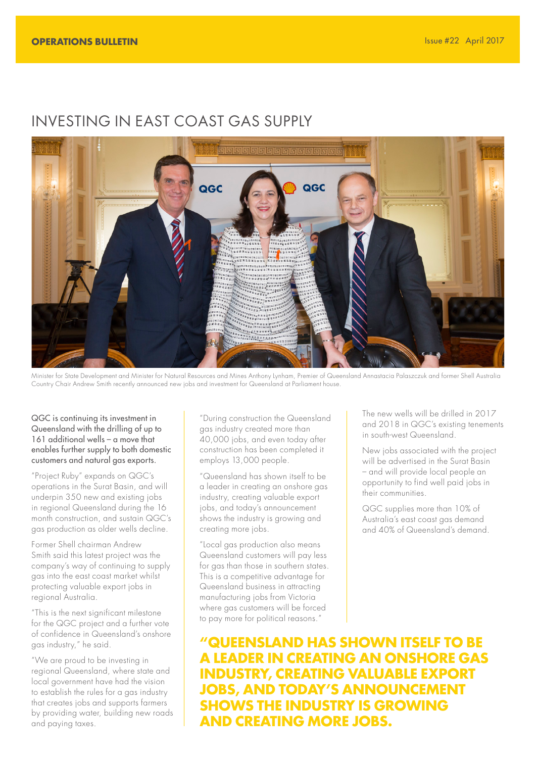# INVESTING IN EAST COAST GAS SUPPLY



Minister for State Development and Minister for Natural Resources and Mines Anthony Lynham, Premier of Queensland Annastacia Palaszczuk and former Shell Australia Country Chair Andrew Smith recently announced new jobs and investment for Queensland at Parliament house.

QGC is continuing its investment in Queensland with the drilling of up to 161 additional wells – a move that enables further supply to both domestic customers and natural gas exports.

"Project Ruby" expands on QGC's operations in the Surat Basin, and will underpin 350 new and existing jobs in regional Queensland during the 16 month construction, and sustain QGC's gas production as older wells decline.

Former Shell chairman Andrew Smith said this latest project was the company's way of continuing to supply gas into the east coast market whilst protecting valuable export jobs in regional Australia.

"This is the next significant milestone for the QGC project and a further vote of confidence in Queensland's onshore gas industry," he said.

"We are proud to be investing in regional Queensland, where state and local government have had the vision to establish the rules for a gas industry that creates jobs and supports farmers by providing water, building new roads and paying taxes.

"During construction the Queensland gas industry created more than 40,000 jobs, and even today after construction has been completed it employs 13,000 people.

"Queensland has shown itself to be a leader in creating an onshore gas industry, creating valuable export jobs, and today's announcement shows the industry is growing and creating more jobs.

"Local gas production also means Queensland customers will pay less for gas than those in southern states. This is a competitive advantage for Queensland business in attracting manufacturing jobs from Victoria where gas customers will be forced to pay more for political reasons."

The new wells will be drilled in 2017 and 2018 in QGC's existing tenements in south-west Queensland.

New jobs associated with the project will be advertised in the Surat Basin – and will provide local people an opportunity to find well paid jobs in their communities.

QGC supplies more than 10% of Australia's east coast aas demand and 40% of Queensland's demand.

**"QUEENSLAND HAS SHOWN ITSELF TO BE A LEADER IN CREATING AN ONSHORE GAS INDUSTRY, CREATING VALUABLE EXPORT JOBS, AND TODAY'S ANNOUNCEMENT SHOWS THE INDUSTRY IS GROWING AND CREATING MORE JOBS.**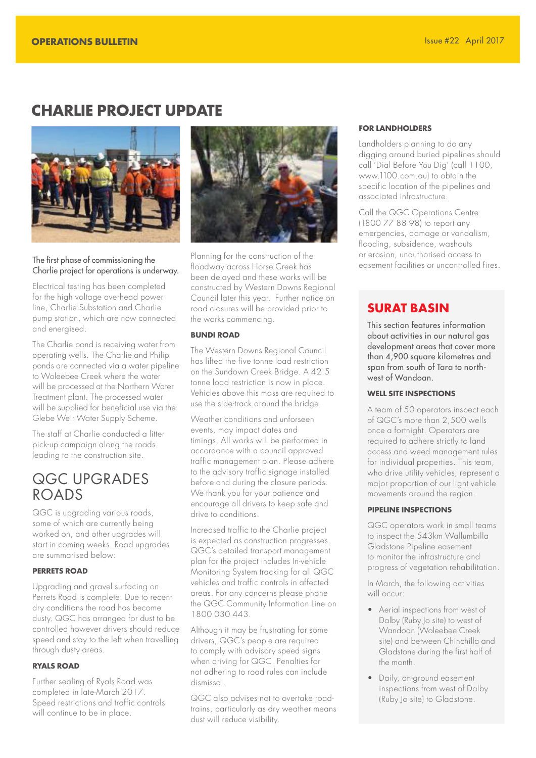# **CHARLIE PROJECT UPDATE**



#### The first phase of commissioning the Charlie project for operations is underway.

Electrical testing has been completed for the high voltage overhead power line, Charlie Substation and Charlie pump station, which are now connected and energised.

The Charlie pond is receiving water from operating wells. The Charlie and Philip ponds are connected via a water pipeline to Woleebee Creek where the water will be processed at the Northern Water Treatment plant. The processed water will be supplied for beneficial use via the Glebe Weir Water Supply Scheme.

The staff at Charlie conducted a litter pick-up campaign along the roads leading to the construction site.

# QGC UPGRADES ROADS

QGC is upgrading various roads, some of which are currently being worked on, and other upgrades will start in coming weeks. Road upgrades are summarised below:

#### **PERRETS ROAD**

Upgrading and gravel surfacing on Perrets Road is complete. Due to recent dry conditions the road has become dusty. QGC has arranged for dust to be controlled however drivers should reduce speed and stay to the left when travelling through dusty areas.

#### **RYALS ROAD**

Further sealing of Ryals Road was completed in late-March 2017. Speed restrictions and traffic controls will continue to be in place.



Planning for the construction of the floodway across Horse Creek has been delayed and these works will be constructed by Western Downs Regional Council later this year. Further notice on road closures will be provided prior to the works commencing.

#### **BUNDI ROAD**

The Western Downs Regional Council has lifted the five tonne load restriction on the Sundown Creek Bridge. A 42.5 tonne load restriction is now in place. Vehicles above this mass are required to use the side-track around the bridge.

Weather conditions and unforseen events, may impact dates and timings. All works will be performed in accordance with a council approved traffic management plan. Please adhere to the advisory traffic signage installed before and during the closure periods. We thank you for your patience and encourage all drivers to keep safe and drive to conditions.

Increased traffic to the Charlie project is expected as construction progresses. QGC's detailed transport management plan for the project includes In-vehicle Monitoring System tracking for all QGC vehicles and traffic controls in affected areas. For any concerns please phone the QGC Community Information Line on 1800 030 443.

Although it may be frustrating for some drivers, QGC's people are required to comply with advisory speed signs when driving for QGC. Penalties for not adhering to road rules can include dismissal.

QGC also advises not to overtake roadtrains, particularly as dry weather means dust will reduce visibility.

#### **FOR LANDHOLDERS**

Landholders planning to do any digging around buried pipelines should call 'Dial Before You Dig' (call 1100, www.1100.com.au) to obtain the specific location of the pipelines and associated infrastructure.

Call the QGC Operations Centre (1800 77 88 98) to report any emergencies, damage or vandalism, flooding, subsidence, washouts or erosion, unauthorised access to easement facilities or uncontrolled fires.

#### **SURAT BASIN**

This section features information about activities in our natural gas development areas that cover more than 4,900 square kilometres and span from south of Tara to northwest of Wandoan.

#### **WELL SITE INSPECTIONS**

A team of 50 operators inspect each of QGC's more than 2,500 wells once a fortnight. Operators are required to adhere strictly to land access and weed management rules for individual properties. This team, who drive utility vehicles, represent a major proportion of our light vehicle movements around the region.

#### **PIPELINE INSPECTIONS**

QGC operators work in small teams to inspect the 543km Wallumbilla Gladstone Pipeline easement to monitor the infrastructure and progress of vegetation rehabilitation.

In March, the following activities will occur:

- Aerial inspections from west of Dalby (Ruby Jo site) to west of Wandoan (Woleebee Creek site) and between Chinchilla and Gladstone during the first half of the month.
- Daily, on-ground easement inspections from west of Dalby (Ruby Jo site) to Gladstone.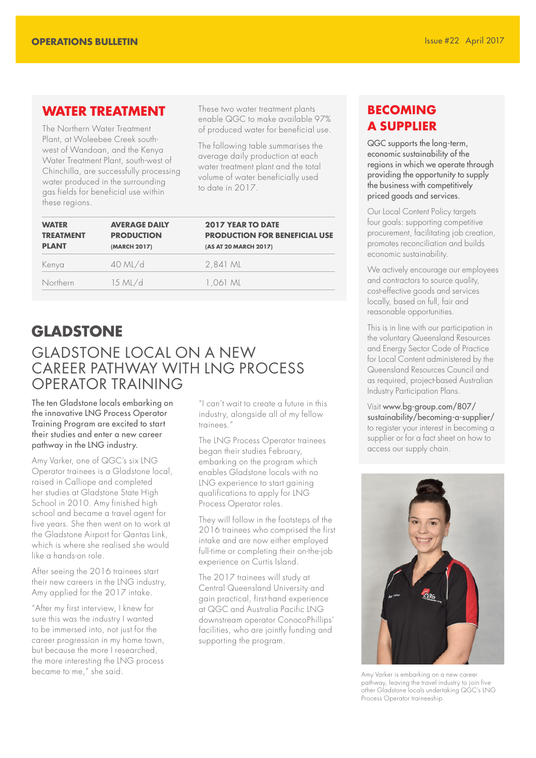### **WATER TREATMENT**

The Northern Water Treatment Plant, at Woleebee Creek southwest of Wandoan, and the Kenya Water Treatment Plant, south-west of Chinchilla, are successfully processing water produced in the surrounding gas fields for beneficial use within these regions.

These two water treatment plants enable QGC to make available 97% of produced water for beneficial use.

The following table summarises the average daily production at each water treatment plant and the total volume of water beneficially used to date in 2017.

| <b>WATER</b><br><b>TREATMENT</b><br><b>PLANT</b> | <b>AVERAGE DAILY</b><br><b>PRODUCTION</b><br>(MARCH 2017) | <b>2017 YEAR TO DATE</b><br><b>PRODUCTION FOR BENEFICIAL USE</b><br>(AS AT 20 MARCH 2017) |
|--------------------------------------------------|-----------------------------------------------------------|-------------------------------------------------------------------------------------------|
| Kenya                                            | $40$ ML/d                                                 | 2,841 ML                                                                                  |
| Northern                                         | $15$ ML/d                                                 | 1.061 ML                                                                                  |

# **GLADSTONE** GLADSTONE LOCAL ON A NEW CAREER PATHWAY WITH LNG PROCESS OPERATOR TRAINING

The ten Gladstone locals embarking on the innovative LNG Process Operator Training Program are excited to start their studies and enter a new career pathway in the LNG industry.

Amy Varker, one of QGC's six LNG Operator trainees is a Gladstone local, raised in Calliope and completed her studies at Gladstone State High School in 2010. Amy finished high school and became a travel agent for five years. She then went on to work at the Gladstone Airport for Qantas Link, which is where she realised she would like a hands-on role.

After seeing the 2016 trainees start their new careers in the LNG industry, Amy applied for the 2017 intake.

"After my first interview, I knew for sure this was the industry I wanted to be immersed into, not just for the career progression in my home town, but because the more I researched, the more interesting the LNG process became to me," she said.

"I can't wait to create a future in this industry, alongside all of my fellow trainees.

The LNG Process Operator trainees began their studies February, embarking on the program which enables Gladstone locals with no LNG experience to start gaining qualifications to apply for LNG Process Operator roles.

They will follow in the footsteps of the 2016 trainees who comprised the first intake and are now either employed full-time or completing their on-the-job experience on Curtis Island.

The 2017 trainees will study at Central Queensland University and gain practical, first-hand experience at QGC and Australia Pacific LNG downstream operator ConocoPhillips' facilities, who are jointly funding and supporting the program.

# **BECOMING A SUPPLIER**

QGC supports the long-term, economic sustainability of the regions in which we operate through providing the opportunity to supply the business with competitively priced goods and services.

Our Local Content Policy targets four goals: supporting competitive procurement, facilitating job creation, promotes reconciliation and builds economic sustainability.

We actively encourage our employees and contractors to source quality, cost-effective goods and services locally, based on full, fair and reasonable opportunities.

This is in line with our participation in the voluntary Queensland Resources and Energy Sector Code of Practice for Local Content administered by the Queensland Resources Council and as required, project-based Australian Industry Participation Plans.

Visit www.bg-group.com/807/ sustainability/becoming-a-supplier/ to register your interest in becoming a supplier or for a fact sheet on how to access our supply chain.



Amy Varker is embarking on a new career pathway, leaving the travel industry to join five other Gladstone locals undertaking QGC's LNG Process Operator traineeship.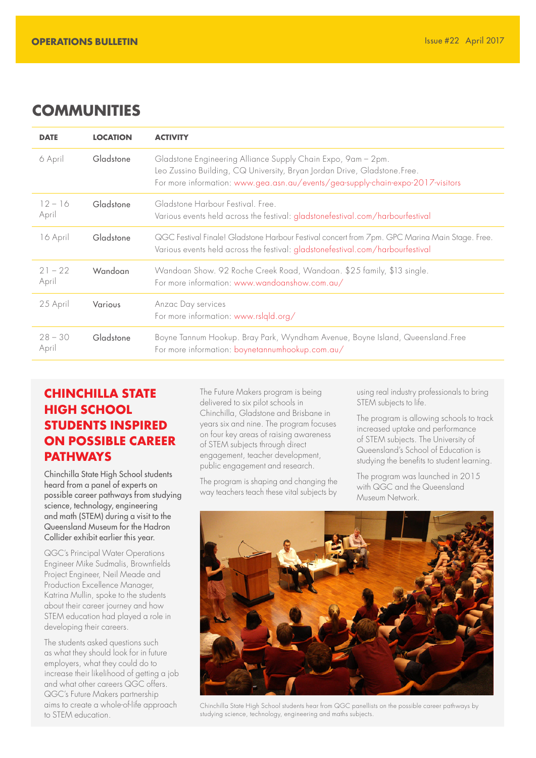# **COMMUNITIES**

| <b>DATE</b>        | <b>LOCATION</b> | <b>ACTIVITY</b>                                                                                                                                                                                                             |  |
|--------------------|-----------------|-----------------------------------------------------------------------------------------------------------------------------------------------------------------------------------------------------------------------------|--|
| 6 April            | Gladstone       | Gladstone Engineering Alliance Supply Chain Expo, 9am - 2pm.<br>Leo Zussino Building, CQ University, Bryan Jordan Drive, Gladstone.Free.<br>For more information: www.gea.asn.au/events/gea-supply-chain-expo-2017-visitors |  |
| $12 - 16$<br>April | Gladstone       | Gladstone Harbour Festival, Free.<br>Various events held across the festival: gladstonefestival.com/harbourfestival                                                                                                         |  |
| 16 April           | Gladstone       | QGC Festival Finale! Gladstone Harbour Festival concert from 7pm. GPC Marina Main Stage. Free.<br>Various events held across the festival: gladstonefestival.com/harbourfestival                                            |  |
| $21 - 22$<br>April | Wandoan         | Wandoan Show. 92 Roche Creek Road, Wandoan. \$25 family, \$13 single.<br>For more information: www.wandoanshow.com.au/                                                                                                      |  |
| 25 April           | <b>Various</b>  | Anzac Day services<br>For more information: www.rslqld.org/                                                                                                                                                                 |  |
| $28 - 30$<br>April | Gladstone       | Boyne Tannum Hookup. Bray Park, Wyndham Avenue, Boyne Island, Queensland. Free<br>For more information: boynetannumhookup.com.au/                                                                                           |  |

# **CHINCHILLA STATE HIGH SCHOOL STUDENTS INSPIRED ON POSSIBLE CAREER PATHWAYS**

Chinchilla State High School students heard from a panel of experts on possible career pathways from studying science, technology, engineering and math (STEM) during a visit to the Queensland Museum for the Hadron Collider exhibit earlier this year.

QGC's Principal Water Operations Engineer Mike Sudmalis, Brownfields Project Engineer, Neil Meade and Production Excellence Manager, Katrina Mullin, spoke to the students about their career journey and how STEM education had played a role in developing their careers.

The students asked questions such as what they should look for in future employers, what they could do to increase their likelihood of getting a job and what other careers QGC offers. QGC's Future Makers partnership aims to create a whole-of-life approach to STEM education.

The Future Makers program is being delivered to six pilot schools in Chinchilla, Gladstone and Brisbane in years six and nine. The program focuses on four key areas of raising awareness of STEM subjects through direct engagement, teacher development, public engagement and research.

The program is shaping and changing the way teachers teach these vital subjects by using real industry professionals to bring STEM subjects to life.

The program is allowing schools to track increased uptake and performance of STEM subjects. The University of Queensland's School of Education is studying the benefits to student learning.

The program was launched in 2015 with QGC and the Queensland Museum Network.



Chinchilla State High School students hear from QGC panellists on the possible career pathways by studying science, technology, engineering and maths subjects.